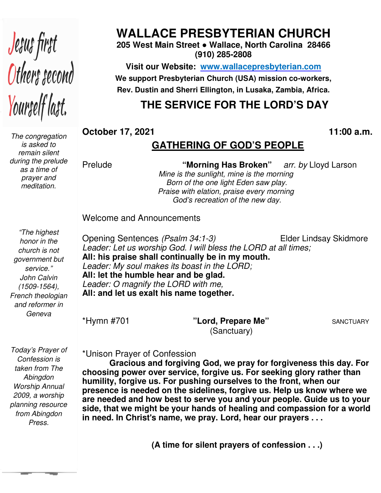

*The congregation is asked to remain silent during the prelude as a time of prayer and meditation.* 

**WALLACE PRESBYTERIAN CHURCH**

**205 West Main Street ● Wallace, North Carolina 28466 (910) 285-2808** 

**Visit our Website: www.wallacepresbyterian.com** We support Presbyterian Church (USA) mission co-workers, **Rev. Dustin and Sherri Ellington, in Lusaka, Zambia, Africa. Sherri Ellington,** 

## **THE SERVICE FOR THE LORD'S DAY**

**October 17, 2021** 

#### **11:00 a.m.**

### **GATHERING OF OF GOD'S PEOPLE**

**Prelude** 

 *Mine is the sunlight, mine is the mornin is the morning Born of the one light Eden saw play. Praise with elation, praise every morning God's recreation of the new day* "Morning Has Broken" *the one light Eden saw play<br>h elation, praise every morn<br>recreation of the new day.* arr. by Lloyd Larson

Welcome and Announcements and Announcements

*"The highest honor in the church is not government but service." John Calvin (1509-1564), French theologian and reformer in Geneva* 

Opening Sentences *(Psalm 34:1* Leader: Let us worship God. I will bless the LORD at all times; **All: his praise shall continually be in my mouth. praise** Leader: My soul makes its boast in the LORD; **All: let the humble hear and be glad. the humble glad.***Leader: O magnify the LORD with me, me,*All: and let us exalt his name together. *34:1-3)* Elder Lindsay Skidmore Elder 11:00 a.m.<br> **EXECUTE:**<br> **We all the Sunight, mine is the morning**<br> **We sunight, mine is the morning**<br>
of the one light Eden saw play.<br>
With elation, praise every morning<br>
of secreation of the new day.<br>
The secreation of th

\*Hymn #701

**"Lord, Prepare Me"** SANCTUARY (Sanctuary)

*Today's Prayer of Confession is taken from The Abingdon Worship Annual 2009, a worship planning resource from Abingdon Press.* 

\*Unison Prayer of Confession

**Gracious and forgiving God, we pray for forgiveness this day. For choosing power over service, forgive us. For seeking glory rather than humility, forgive us. For pushing ourselves to the front, when our presence is needed on the sidelines, forgive us. Help us know where we are needed and how best to serve you and your people. Guide us to your**  side, that we might be your hands of healing and compassion for a world **in need. In Christ**'**s name, we pray. Lord, hear our prayers . . .** Gracious and forgiving God, we pray for forgiveness this day. For<br>osing power over service, forgive us. For seeking glory rather than<br>nility, forgive us. For pushing ourselves to the front, when our<br>sence is needed on the

 **(A time for silent prayers of confession . . .)**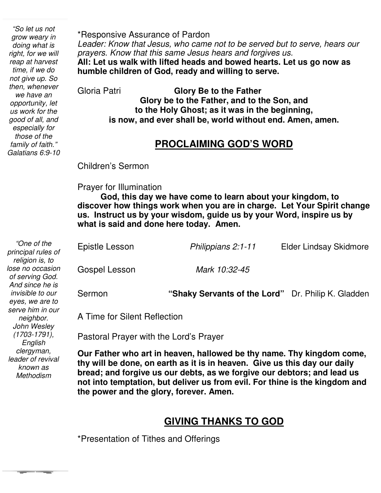*"So let us not grow weary in doing what is right, for we will reap at harvest time, if we do not give up. So then, whenever we have an opportunity, let us work for the good of all, and especially for those of the family of faith." Galatians 6:9-10* 

#### \*Responsive Assurance of Pardon

*Leader: Know that Jesus, who came not to be served but to serve, hears our prayers. Know that this same Jesus hears and forgives us.*  **All: Let us walk with lifted heads and bowed hearts. Let us go now as humble children of God, ready and willing to serve.**

Gloria Patri **Glory Be to the Father Glory be to the Father, and to the Son, and to the Holy Ghost; as it was in the beginning, is now, and ever shall be, world without end. Amen, amen.** 

### **PROCLAIMING GOD'S WORD**

Children's Sermon

Prayer for Illumination

 **discover how things work when you are in charge. Let Your Spirit change God, this day we have come to learn about your kingdom, to us. Instruct us by your wisdom, guide us by your Word, inspire us by what is said and done here today. Amen.**

| "One of the<br>principal rules of<br>religion is, to   | <b>Epistle Lesson</b>                  | Philippians 2:1-11                                 | Elder Lindsay Skidmore |
|--------------------------------------------------------|----------------------------------------|----------------------------------------------------|------------------------|
| lose no occasion<br>of serving God.<br>And since he is | Gospel Lesson                          | Mark 10:32-45                                      |                        |
| <i>invisible to our</i><br>eyes, we are to             | Sermon                                 | "Shaky Servants of the Lord" Dr. Philip K. Gladden |                        |
| serve him in our<br>neighbor.<br>John Wesley           | A Time for Silent Reflection           |                                                    |                        |
| $(1703 - 1791)$ ,                                      | Pastoral Prayer with the Lord's Prayer |                                                    |                        |

์<br>-**Our Father who art in heaven, hallowed be thy name. Thy kingdom come, thy will be done, on earth as it is in heaven. Give us this day our daily bread; and forgive us our debts, as we forgive our debtors; and lead us not into temptation, but deliver us from evil. For thine is the kingdom and the power and the glory, forever. Amen.**

## **GIVING THANKS TO GOD**

\*Presentation of Tithes and Offerings

religio *lose no of servi* And sin *invisibl* eyes,  $$ *serve him neigh John (1703-1791), English clergyman, leader of revival known as Methodism* 

**The Color**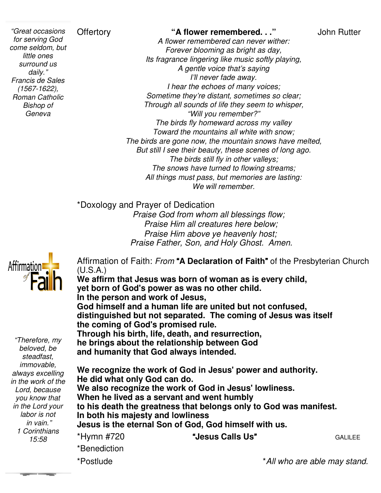*"Great occasions for serving God come seldom, but little ones surround us daily." Francis de Sales (1567-1622), Roman Catholic Bishop of Geneva* 

Offertory **"A flower remembered. . .**

**."** John Rutte Rutter

*A flower remembered can never wither: Forever blooming as bright as day flower remembered blooming as day, Its fragran fragrance lingering like music softly playing, I hear the echoes of many voices; Sometime they're distant, sometimes so clear; Through all sounds of life they seem sometimes so seem to whisper, The birds fly homeward across my valley Toward the mountains all white with snow; The birds fly homeward across my valley*<br>*Toward the mountains all white with snow;*<br>*The birds are gone now, the mountain snows have melted, But still I see their beauty, these scenes of long ago. The birds still fly in other valleys; The snows have turned to flowing streams; All things must pass, but memories are lasting: A gentle voice that's saying I'll never fade away. "Will you remember?" We will remember.* 

\*Doxology and Prayer of Dedication

 *Praise God from whom all blessings flow; Praise Him all creatures here below; Praise Him above ye heavenly host; Praise God from whom all blessings flow;<br>Praise Him all creatures here below;<br>Praise Him above ye heavenly host;<br>Praise Father, Son, and Holy Ghost. Amen.* 



*"Therefore, my beloved, be steadfast, immovable, always excelling in the work of the Lord, because you know that in the Lord your labor is not in vain." 1 Corinthians 15:58* 

Affirmation of Faith: From "A Declaration of Faith" of the Presbyterian Church (U.S.A.)

**We affirm that Jesus was born of woman as is every child, yet born of God's power as was no other child. In the person and work of Jesus, God himself and a human life are united but not confused,** We affirm that Jesus was born of woman as is every child,<br>yet born of God's power as was no other child.<br>In the person and work of Jesus,<br>God himself and a human life are united but not confused,<br>distinguished but not sepa **the coming of God's promised rule. Through his birth, life, death, and resurrection, he brings about the relationship between God and humanity that God always intended. We recognize the work of God in Jesus' power and authority.** 

**He did what only God can do. We also recognize the work of God in Jesus' lowliness. When he lived as a servant and went humbly**  Through his birth, life, death, and resurrection,<br>he brings about the relationship between God<br>and humanity that God always intended.<br>We recognize the work of God in Jesus' power and authority.<br>He did what only God can do. **In both his majesty and lowliness**  In both his majesty and lowliness<br>Jesus is the eternal Son of God, God himself with us. \*Hymn #720 \*Benediction Hymn #720 "**Jesus Calls Us**"GALILEE

\*Postlude

\**All who are able may stand. All are*